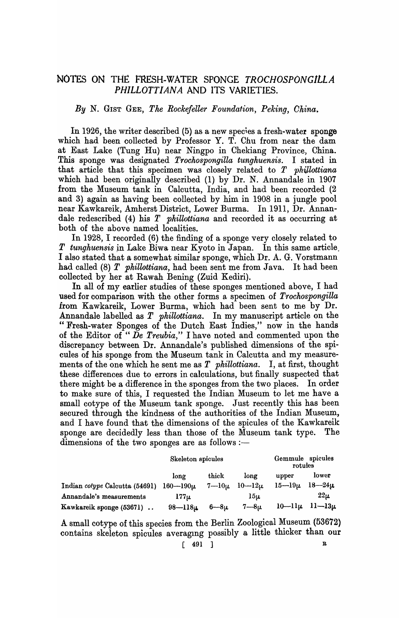# NOTES ON THE FRESH-WATER SPONGE *TROCHOSPONGILLA PHILLOTTIANA* AND ITS VARIETIES.

## *By* N. GIST GEE, *The Rockefeller Foundation, Peking, Ohina.*

In 1926, the writer described (5) as a new species a fresh-water sponge which had been collected by Professor Y. T. Chu from near the dam at East Lake (Tung Hu) near Ningpo in Chekiang Province, China. This sponge was designated *Trochospongilla tunghuensis.* I stated in that article that this specimen was closely related to *T ph1Jlottiana*  which had been originally described (1) by Dr. N. Annandale in 1907 from the Museum tank in Calcutta, India, and had been recorded (2 and 3) again as having been collected by him in 1908 in a jungle pool near Kawkareik, Amherst District, Lower Burma. In 1911, Dr. Annandale redescribed (4) his *T phillottiana* and recorded it as occurring at both of the above named localities.

In 1928, I recorded (6) the finding of a sponge very closely related to *T tungkuensis* jn Lake Biwa near Kyoto in Japan. In this same article. I also stated that a somewhat similar sponge, which Dr. A. G. Vorstmann had called (8) *T phillottiana,* had been sent me from Java. It had been collected by her at Rawah Bening (Zuid Kediri).

In all of my earlier studies of these sponges mentioned above, I had used for comparison with the other forms a specimen of *Trochospongilla*  from Kawkareik, Lower Burma, which had been sent to me by Dr. Annandale labelled as *T phillottiana.* In my manuscript article on the "Fresh-water Sponges of the Dutch East Indies," now in the hands of the Editor of " $\overline{De}$  Treubia," I have noted and commented upon the discrepancy between Dr. Annandale's published dimensions of the spicules of his sponge from the Museum tank in Calcutta and my measurements of the one which he sent me as *T phillottiana.* I, at first, thought these differences due to errors in calculations, but finally suspected that there might be a difference in the sponges from the two places. In order to make sure of this, I requested the Indian Museum to let me have a small cotype of the Museum tank sponge. Just recently this has been secured through the kindness of the authorities of the Indian Museum, and I have found that the dimensions of the spicules of the Kawkareik sponge are decidedly less than those of the Museum tank type. The dimensions of the two sponges are as follows :-

|                                             | Skeleton spicules |              | Gemmule spicules<br>rotules |                |              |
|---------------------------------------------|-------------------|--------------|-----------------------------|----------------|--------------|
|                                             | long              | thick        | long                        | upper          | lower        |
| Indian cotype Calcutta (54691) $160-190\mu$ |                   | $7 - 10 \mu$ | $10 - 12u$                  | $15 - 19\mu$   | $18 - 24\mu$ |
| Annandale's measurements                    | $177\mu$          |              | 15u                         |                | $22\mu$      |
| Kawkareik sponge (53671)                    | $98 - 118$ il     | 6—8ம         | $7 - 8 \mu$                 | $10$ — $11\mu$ | $11 - 13\mu$ |

A small cotype of this species from the Berlin Zoological Museum (53672) contains skeleton spicules averaging possibly a little thicker than our

 $\lceil$  491 ] R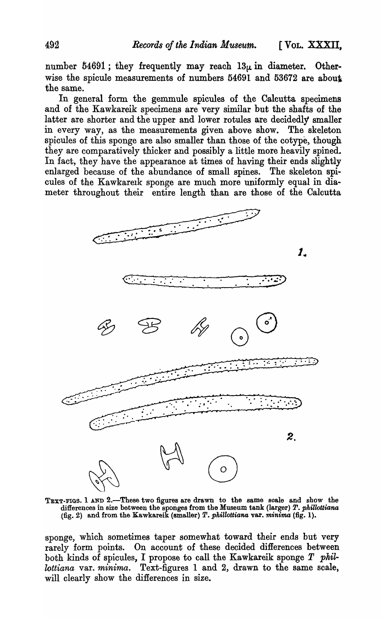number  $54691$ ; they frequently may reach  $13\mu$  in diameter. Otherwise the spicule measurements of numbers 54691 and 53672 are about the same.

In general form the gemmule spicules of the Calcutta specimens and of the Kawkareik specimens are very similar but the shafts of the latter are shorter and the upper and lower rotules are decidedly smaller in every way, as the measurements given above show. The skeleton spicules of this sponge are also smaller than those of the cotype, though they are comparatively thicker and possibly a little more heavily spined. In fact, they have the appearance at times of having their ends slightly enlarged because of the abundance of small spines. The skeleton spicules of the Kawkarelk sponge are much more uniformly equal in diameter throughout their entire length than are those of the Calcutta



TEXT-FIGS. 1 AND 2.-These two figures are drawn to the same scale and show the differences in size between the sponges from the Museum tank (larger) *P. pkillottiana*  (fig.2) and from the Kawkareik (smaller) *T. pkillottiana* var. *minima* (fig. 1).

sponge, which sometimes taper somewhat toward their ends but very rarely form points. On account of these decided differences between both kinds of spicules, I propose to call the Kawkareik sponge  $T$  phil*lottiana* var. *minima.* Text-figures 1 and 2, drawn to the same scale, will clearly show the differences in size.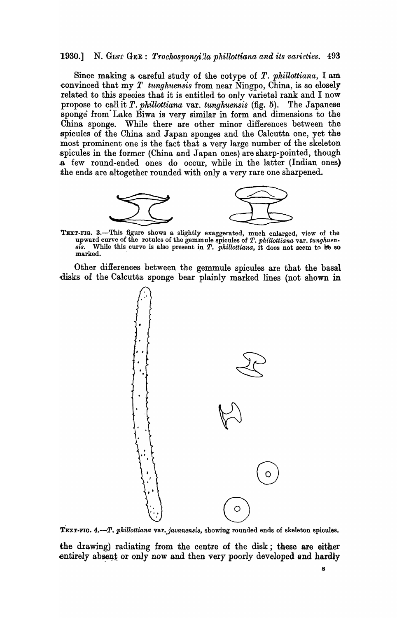#### 1930.] N. GIST GEE: *Trochospongi'la phillottiana and its varieties.* 493

Since making a careful study of the cotype of *T. phillottiana,* I am convinced that my *T tunghuensis* from near Ningpo, China, is so closely related to this species that it is entitled to only varietal rank and I now propose to call it *T. phillottiana* var. *tunghuensis* (fig. 5). The Japanese sponge from" Lake Biwa is very similar in form and dimensions to the China sponge. While there are other minor differences between the spicules of the China and Japan sponges and the Calcutta one, yet the most prominent one is the fact that a very large number of the skeleton .spicules in the former (China and Japan ones) are sharp-pointed, though .a few round-ended ones do occur, while in the latter (Indian ones) the ends are altogether rounded with only a very rare one sharpened.



TEXT-FIG. 3.-This figure shows a slightly exaggerated, much enlarged, view of the upward curve of the rotules of the gemmule spicules of *T. phillottiana* var. *tunghuen*. *sis.* While this curve is also present in *T. pkillottiana,* it does not seem to lfe SO marked. .

Other differences between the gemmule spicules are that the basal disks of the Calcutta sponge bear plainly marked lines (not shown in



TEXT-FIG. 4.-T. phillottiana var. javanensis, showing rounded ends of skeleton spicules.

the drawing) radiating from the centre of the disk; these are either entirely absent or only now and then very poorly developed and hardly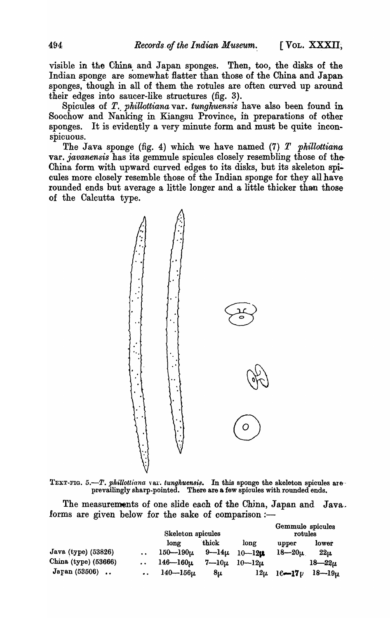visible in the China and Japan sponges. Then, too, the disks of the Indian sponge are somewhat flatter than those of the China and Japan sponges, though in all of them the rotules are often curved up around their edges into saucer-like structures (fig. 3).

Spicules of *T*. *phillottiana* var. *tunghuensis* have also been found in Soochow and Nanking in Kiangsu Province, in preparations of other sponges. It is evidently a very minute form and must be quite inconspicuous.

The Java sponge (fig. 4) which we have named (7) *T phillottiana*  var. *javanensis* has its gemmule spicules closely resembling those of the-China form with upward curved edges to its disks, but its skeleton spieules more closely resemble those of the Indian sponge for they all have rounded ends but average a little longer and a little thicker than those of the Calcutta type.



TEXT-FIG.  $5.-T.$  phillottiana var. tunghuensis. In this sponge the skeleton spicules areprevailingly sharp-pointed. There are a few spicules with rounded ends.

The measurements of one slide each of the China, Japan and Java. forms are given below for the sake of comparison :-

|                      |                      | Skeleton spicules |             |              | Gemmule spicules<br>rotules |              |
|----------------------|----------------------|-------------------|-------------|--------------|-----------------------------|--------------|
|                      |                      | long              | thick       | long         | upper                       | lower        |
| Java (type) (53826)  |                      | $150 - 190 \mu$   | $9 - 14\mu$ | $10 - 120$   | $18 - 20\mu$                | $22\mu$      |
| China (type) (53666) | $\ddot{\phantom{a}}$ | $146 - 160 \mu$   | $7 - 10\mu$ | $10 - 12\mu$ |                             | $18 - 22\mu$ |
| Japan (53506)        | $\bullet$ $\bullet$  | $140 - 156\mu$    | 8u          | $12\mu$      | $16 - 17 \nu$               | $18 - 19\mu$ |